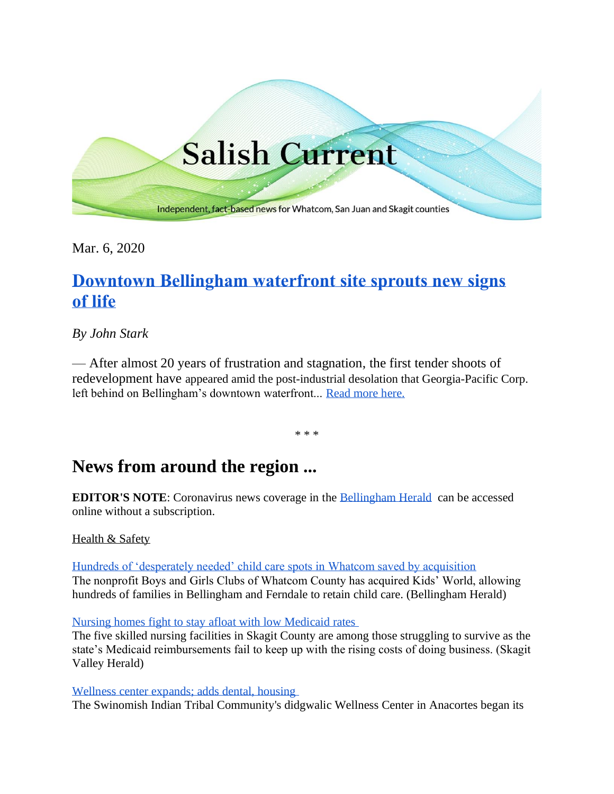

Mar. 6, 2020

# **[Downtown Bellingham waterfront site sprouts new signs](https://salish-current.org/2020/02/26/downtown-bellingham-waterfront-site-sprouts-new-signs-of-life/)  of [life](https://salish-current.org/2020/02/26/downtown-bellingham-waterfront-site-sprouts-new-signs-of-life/)**

### *By John Stark*

— After almost 20 years of frustration and stagnation, the first tender shoots of redevelopment have appeared amid the post-industrial desolation that Georgia-Pacific Corp. left behind on Bellingham's downtown waterfront... [Read more here.](https://salish-current.org/2020/02/26/downtown-bellingham-waterfront-site-sprouts-new-signs-of-life/)

\* \* \*

## **News from around the region ...**

**EDITOR'S NOTE**: Coronavirus news coverage in the [Bellingham Herald](https://www.bellinghamherald.com/) can be accessed online without a subscription.

#### Health & Safety

[Hundreds of 'desperately needed' child care spots in Whatcom saved by acquisition](https://www.bellinghamherald.com/news/local/article240750626.html) The nonprofit Boys and Girls Clubs of Whatcom County has acquired Kids' World, allowing hundreds of families in Bellingham and Ferndale to retain child care. (Bellingham Herald)

[Nursing homes fight to stay afloat with low Medicaid rates](https://www.goskagit.com/news/local_news/nursing-homes-fight-to-stay-afloat-with-low-medicaid-rates/article_ddbe1cf1-4dc9-56d8-98bc-0bf098043828.html)

The five skilled nursing facilities in Skagit County are among those struggling to survive as the state's Medicaid reimbursements fail to keep up with the rising costs of doing business. (Skagit Valley Herald)

[Wellness center expands; adds dental, housing](https://www.goskagit.com/anacortes/news/wellness-center-expands-adds-dental-housing/article_b80a3082-5db4-11ea-8b38-5bd82f17281d.html)

The Swinomish Indian Tribal Community's didgwalic Wellness Center in Anacortes began its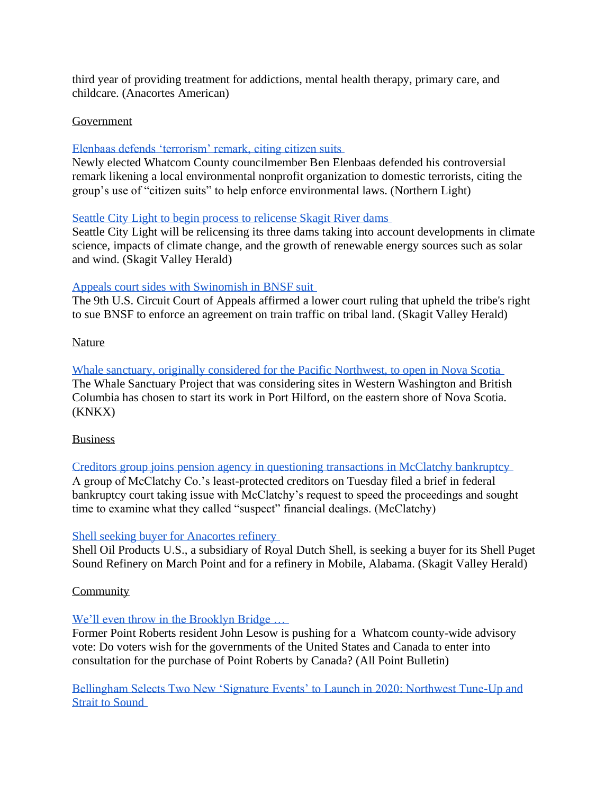third year of providing treatment for addictions, mental health therapy, primary care, and childcare. (Anacortes American)

#### Government

#### [Elenbaas defends 'terrorism' remark, citing citizen suits](https://www.thenorthernlight.com/stories/elenbaas-defends-terrorism-remark-citing-citizen-suits,9751?)

Newly elected Whatcom County councilmember Ben Elenbaas defended his controversial remark likening a local environmental nonprofit organization to domestic terrorists, citing the group's use of "citizen suits" to help enforce environmental laws. (Northern Light)

#### [Seattle City Light to begin process to relicense Skagit River dams](https://www.goskagit.com/news/local_news/seattle-city-light-to-begin-process-to-relicense-skagit-river/article_fc4b5352-ca3a-54dd-9018-aeebcc37240f.html?utm_medium=social&utm_source=email&utm_campaign=user-share)

Seattle City Light will be relicensing its three dams taking into account developments in climate science, impacts of climate change, and the growth of renewable energy sources such as solar and wind. (Skagit Valley Herald)

#### [Appeals court sides with Swinomish in BNSF suit](https://www.goskagit.com/news/local_news/appeals-court-sides-with-swinomish-in-bnsf-suit/article_b037196a-94ca-55e4-9f0b-6642c690adaf.html?utm_medium=social&utm_source=email&utm_campaign=user-share)

The 9th U.S. Circuit Court of Appeals affirmed a lower court ruling that upheld the tribe's right to sue BNSF to enforce an agreement on train traffic on tribal land. (Skagit Valley Herald)

Nature

[Whale sanctuary, originally considered for the Pacific Northwest, to open in Nova Scotia](https://www.knkx.org/post/whale-sanctuary-originally-considered-pacific-northwest-open-nova-scotia) The Whale Sanctuary Project that was considering sites in Western Washington and British Columbia has chosen to start its work in Port Hilford, on the eastern shore of Nova Scotia. (KNKX)

#### Business

[Creditors group joins pension agency in questioning transactions in McClatchy bankruptcy](https://www.bellinghamherald.com/news/nation-world/national/article240858706.html) A group of McClatchy Co.'s least-protected creditors on Tuesday filed a brief in federal bankruptcy court taking issue with McClatchy's request to speed the proceedings and sought time to examine what they called "suspect" financial dealings. (McClatchy)

#### [Shell seeking buyer for Anacortes refinery](https://www.goskagit.com/news/local_news/shell-seeking-buyer-for-anacortes-refinery/article_9231e80e-d8c5-54c9-a9f6-4b5932617e6e.html?utm_medium=social&utm_source=email&utm_campaign=user-share)

Shell Oil Products U.S., a subsidiary of Royal Dutch Shell, is seeking a buyer for its Shell Puget Sound Refinery on March Point and for a refinery in Mobile, Alabama. (Skagit Valley Herald)

#### **Community**

#### We'll even throw in the Brooklyn Bridge ...

Former Point Roberts resident John Lesow is pushing for a Whatcom county-wide advisory vote: Do voters wish for the governments of the United States and Canada to enter into consultation for the purchase of Point Roberts by Canada? (All Point Bulletin)

[Bellingham Selects Two New 'Signature Events' to Launch in 2020: Northwest Tune-Up and](https://www.whatcomtalk.com/2020/02/27/bellingham-selects-two-new-signature-events-to-launch-in-2020-northwest-tune-up-and-strait-to-sound/)  [Strait to Sound](https://www.whatcomtalk.com/2020/02/27/bellingham-selects-two-new-signature-events-to-launch-in-2020-northwest-tune-up-and-strait-to-sound/)